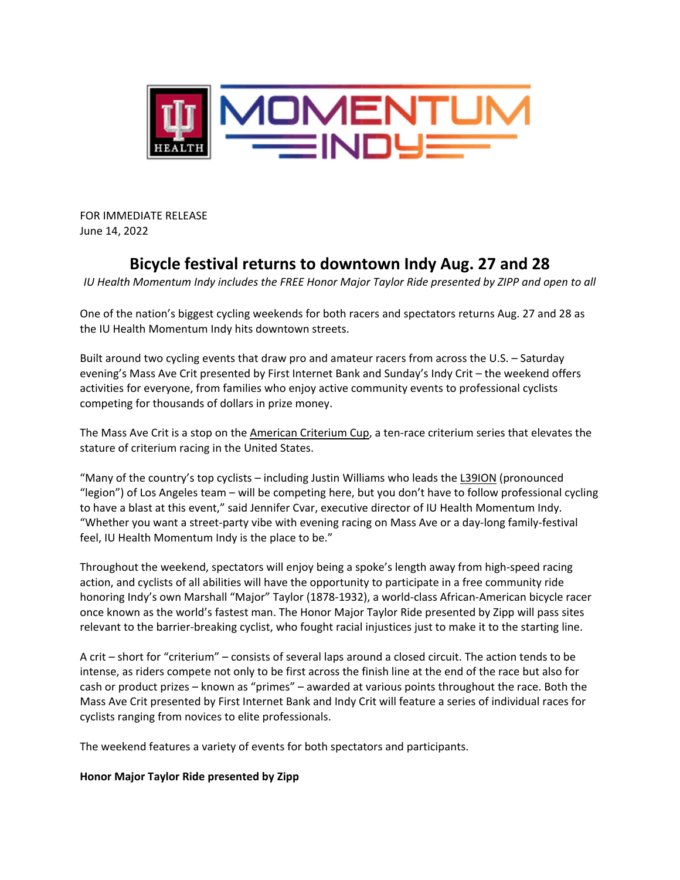

FOR IMMEDIATE RELEASE June 14, 2022

# **Bicycle festival returns to downtown Indy Aug. 27 and 28**

*IU Health Momentum Indy includes the FREE Honor Major Taylor Ride presented by ZIPP and open to all*

One of the nation's biggest cycling weekends for both racers and spectators returns Aug. 27 and 28 as the IU Health Momentum Indy hits downtown streets.

Built around two cycling events that draw pro and amateur racers from across the U.S. – Saturday evening's Mass Ave Crit presented by First Internet Bank and Sunday's Indy Crit – the weekend offers activities for everyone, from families who enjoy active community events to professional cyclists competing for thousands of dollars in prize money.

The Mass Ave Crit is a stop on the [American Criterium Cup,](https://usacycling.org/article/new-national-criterium-series-announces-full-schedule-for-2022) a ten-race criterium series that elevates the stature of criterium racing in the United States.

"Many of the country's top cyclists – including Justin Williams who leads the [L39ION](https://www.l39ionla.com/legacy) (pronounced "legion") of Los Angeles team – will be competing here, but you don't have to follow professional cycling to have a blast at this event," said Jennifer Cvar, executive director of IU Health Momentum Indy. "Whether you want a street-party vibe with evening racing on Mass Ave or a day-long family-festival feel, IU Health Momentum Indy is the place to be."

Throughout the weekend, spectators will enjoy being a spoke's length away from high-speed racing action, and cyclists of all abilities will have the opportunity to participate in a free community ride honoring Indy's own Marshall "Major" Taylor (1878-1932), a world-class African-American bicycle racer once known as the world's fastest man. The Honor Major Taylor Ride presented by Zipp will pass sites relevant to the barrier-breaking cyclist, who fought racial injustices just to make it to the starting line.

A crit – short for "criterium" – consists of several laps around a closed circuit. The action tends to be intense, as riders compete not only to be first across the finish line at the end of the race but also for cash or product prizes – known as "primes" – awarded at various points throughout the race. Both the Mass Ave Crit presented by First Internet Bank and Indy Crit will feature a series of individual races for cyclists ranging from novices to elite professionals.

The weekend features a variety of events for both spectators and participants.

## **Honor Major Taylor Ride presented by Zipp**